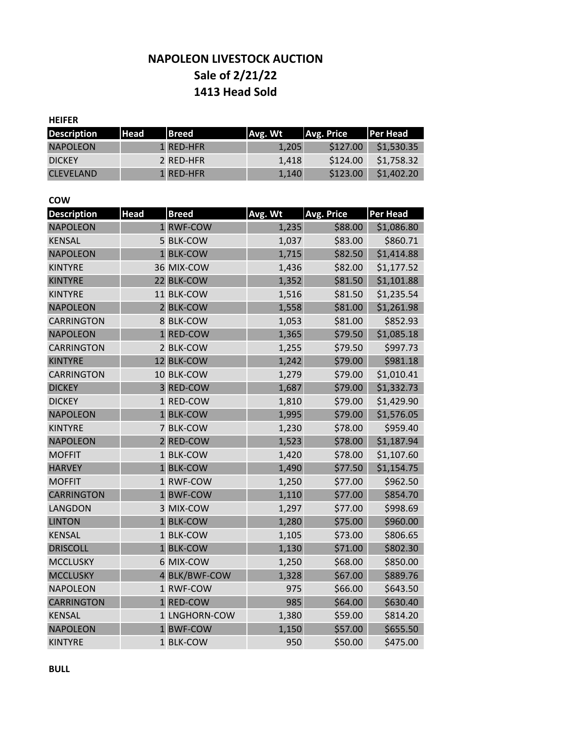# **Sale of 2/21/22 NAPOLEON LIVESTOCK AUCTION 1413 Head Sold**

## **HEIFER**

| <b>Description</b> | <b>Head</b> | <b>Breed</b>     | <b>Avg. Wt</b> | <b>Avg. Price</b> | <b>Per Head</b> |
|--------------------|-------------|------------------|----------------|-------------------|-----------------|
| <b>NAPOLEON</b>    |             | 1 RED-HFR        | 1.205          | \$127.00          | \$1,530.35      |
| <b>DICKEY</b>      |             | 2 RED-HFR        | 1.418          | \$124.00          | \$1,758.32      |
| <b>CLEVELAND</b>   |             | <b>1 RED-HFR</b> | 1.140          | \$123.00          | \$1,402.20      |

#### **COW**

| <b>Description</b> | <b>Head</b> | <b>Breed</b>  | Avg. Wt | <b>Avg. Price</b> | <b>Per Head</b> |
|--------------------|-------------|---------------|---------|-------------------|-----------------|
| <b>NAPOLEON</b>    |             | 1 RWF-COW     | 1,235   | \$88.00           | \$1,086.80      |
| <b>KENSAL</b>      |             | 5 BLK-COW     | 1,037   | \$83.00           | \$860.71        |
| <b>NAPOLEON</b>    |             | 1 BLK-COW     | 1,715   | \$82.50           | \$1,414.88      |
| <b>KINTYRE</b>     |             | 36 MIX-COW    | 1,436   | \$82.00           | \$1,177.52      |
| <b>KINTYRE</b>     |             | 22 BLK-COW    | 1,352   | \$81.50           | \$1,101.88      |
| <b>KINTYRE</b>     |             | 11 BLK-COW    | 1,516   | \$81.50           | \$1,235.54      |
| <b>NAPOLEON</b>    |             | 2 BLK-COW     | 1,558   | \$81.00           | \$1,261.98      |
| <b>CARRINGTON</b>  |             | 8 BLK-COW     | 1,053   | \$81.00           | \$852.93        |
| <b>NAPOLEON</b>    |             | 1 RED-COW     | 1,365   | \$79.50           | \$1,085.18      |
| <b>CARRINGTON</b>  |             | 2 BLK-COW     | 1,255   | \$79.50           | \$997.73        |
| <b>KINTYRE</b>     |             | 12 BLK-COW    | 1,242   | \$79.00           | \$981.18        |
| <b>CARRINGTON</b>  |             | 10 BLK-COW    | 1,279   | \$79.00           | \$1,010.41      |
| <b>DICKEY</b>      |             | 3 RED-COW     | 1,687   | \$79.00           | \$1,332.73      |
| <b>DICKEY</b>      |             | 1 RED-COW     | 1,810   | \$79.00           | \$1,429.90      |
| <b>NAPOLEON</b>    |             | 1 BLK-COW     | 1,995   | \$79.00           | \$1,576.05      |
| <b>KINTYRE</b>     |             | 7 BLK-COW     | 1,230   | \$78.00           | \$959.40        |
| <b>NAPOLEON</b>    |             | 2 RED-COW     | 1,523   | \$78.00           | \$1,187.94      |
| <b>MOFFIT</b>      |             | 1 BLK-COW     | 1,420   | \$78.00           | \$1,107.60      |
| <b>HARVEY</b>      |             | 1 BLK-COW     | 1,490   | \$77.50           | \$1,154.75      |
| <b>MOFFIT</b>      |             | 1 RWF-COW     | 1,250   | \$77.00           | \$962.50        |
| <b>CARRINGTON</b>  |             | 1 BWF-COW     | 1,110   | \$77.00           | \$854.70        |
| LANGDON            |             | 3 MIX-COW     | 1,297   | \$77.00           | \$998.69        |
| <b>LINTON</b>      |             | 1 BLK-COW     | 1,280   | \$75.00           | \$960.00        |
| <b>KENSAL</b>      |             | 1 BLK-COW     | 1,105   | \$73.00           | \$806.65        |
| <b>DRISCOLL</b>    |             | 1 BLK-COW     | 1,130   | \$71.00           | \$802.30        |
| <b>MCCLUSKY</b>    |             | 6 MIX-COW     | 1,250   | \$68.00           | \$850.00        |
| <b>MCCLUSKY</b>    |             | 4 BLK/BWF-COW | 1,328   | \$67.00           | \$889.76        |
| <b>NAPOLEON</b>    |             | 1 RWF-COW     | 975     | \$66.00           | \$643.50        |
| <b>CARRINGTON</b>  |             | 1 RED-COW     | 985     | \$64.00           | \$630.40        |
| <b>KENSAL</b>      |             | 1 LNGHORN-COW | 1,380   | \$59.00           | \$814.20        |
| <b>NAPOLEON</b>    |             | 1 BWF-COW     | 1,150   | \$57.00           | \$655.50        |
| <b>KINTYRE</b>     |             | 1 BLK-COW     | 950     | \$50.00           | \$475.00        |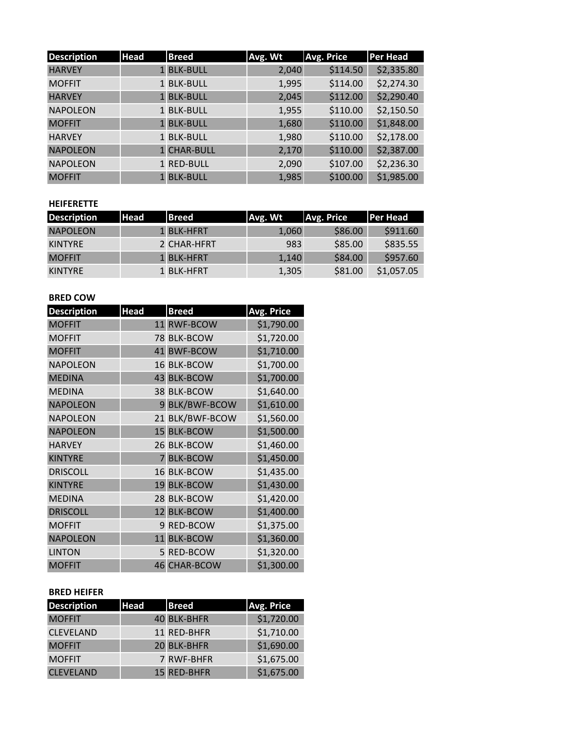| <b>Description</b> | <b>Head</b> | <b>Breed</b> | Avg. Wt | <b>Avg. Price</b> | <b>Per Head</b> |
|--------------------|-------------|--------------|---------|-------------------|-----------------|
| <b>HARVEY</b>      |             | 1 BLK-BULL   | 2,040   | \$114.50          | \$2,335.80      |
| <b>MOFFIT</b>      |             | 1 BLK-BULL   | 1,995   | \$114.00          | \$2,274.30      |
| <b>HARVEY</b>      |             | 1 BLK-BULL   | 2,045   | \$112.00          | \$2,290.40      |
| <b>NAPOLEON</b>    |             | 1 BLK-BULL   | 1,955   | \$110.00          | \$2,150.50      |
| <b>MOFFIT</b>      |             | 1 BLK-BULL   | 1,680   | \$110.00          | \$1,848.00      |
| <b>HARVEY</b>      |             | 1 BLK-BULL   | 1,980   | \$110.00          | \$2,178.00      |
| <b>NAPOLEON</b>    |             | 1 CHAR-BULL  | 2,170   | \$110.00          | \$2,387.00      |
| <b>NAPOLEON</b>    |             | 1 RED-BULL   | 2,090   | \$107.00          | \$2,236.30      |
| <b>MOFFIT</b>      |             | 1 BLK-BULL   | 1,985   | \$100.00          | \$1,985.00      |

## **HEIFERETTE**

| <b>Description</b> | l Head' | <b>Breed</b> | Avg. Wt | Avg. Price | <b>Per Head</b> |
|--------------------|---------|--------------|---------|------------|-----------------|
| <b>NAPOLEON</b>    |         | 1 BLK-HFRT   | 1,060   | \$86.00    | \$911.60        |
| KINTYRE            |         | 2 CHAR-HFRT  | 983     | \$85.00    | \$835.55        |
| <b>MOFFIT</b>      |         | 1 BLK-HFRT   | 1.140   | \$84.00    | \$957.60        |
| KINTYRE            |         | 1 BLK-HFRT   | 1,305   | \$81.00    | \$1,057.05      |

## **BRED COW**

| <b>Description</b> | <b>Head</b>    | <b>Breed</b>        | <b>Avg. Price</b> |
|--------------------|----------------|---------------------|-------------------|
| <b>MOFFIT</b>      | 11             | <b>RWF-BCOW</b>     | \$1,790.00        |
| <b>MOFFIT</b>      |                | 78 BLK-BCOW         | \$1,720.00        |
| <b>MOFFIT</b>      |                | 41 BWF-BCOW         | \$1,710.00        |
| <b>NAPOLEON</b>    |                | 16 BLK-BCOW         | \$1,700.00        |
| <b>MEDINA</b>      |                | 43 BLK-BCOW         | \$1,700.00        |
| <b>MEDINA</b>      |                | 38 BLK-BCOW         | \$1,640.00        |
| <b>NAPOLEON</b>    |                | 9 BLK/BWF-BCOW      | \$1,610.00        |
| <b>NAPOLEON</b>    |                | 21 BLK/BWF-BCOW     | \$1,560.00        |
| <b>NAPOLEON</b>    |                | 15 BLK-BCOW         | \$1,500.00        |
| <b>HARVEY</b>      |                | 26 BLK-BCOW         | \$1,460.00        |
| <b>KINTYRE</b>     | $\overline{7}$ | <b>BLK-BCOW</b>     | \$1,450.00        |
| <b>DRISCOLL</b>    |                | 16 BLK-BCOW         | \$1,435.00        |
| <b>KINTYRE</b>     |                | 19 BLK-BCOW         | \$1,430.00        |
| <b>MEDINA</b>      |                | 28 BLK-BCOW         | \$1,420.00        |
| <b>DRISCOLL</b>    |                | 12 BLK-BCOW         | \$1,400.00        |
| <b>MOFFIT</b>      |                | 9 RED-BCOW          | \$1,375.00        |
| <b>NAPOLEON</b>    |                | 11 BLK-BCOW         | \$1,360.00        |
| <b>LINTON</b>      |                | 5 RED-BCOW          | \$1,320.00        |
| <b>MOFFIT</b>      |                | <b>46 CHAR-BCOW</b> | \$1,300.00        |

#### **BRED HEIFER**

| <b>Description</b> | <b>Head</b> | <b>Breed</b> | Avg. Price |
|--------------------|-------------|--------------|------------|
| <b>MOFFIT</b>      |             | 40 BLK-BHFR  | \$1,720.00 |
| <b>CLEVELAND</b>   |             | 11 RED-BHFR  | \$1,710.00 |
| <b>MOFFIT</b>      |             | 20 BLK-BHFR  | \$1,690.00 |
| <b>MOFFIT</b>      |             | 7 RWF-BHFR   | \$1,675.00 |
| <b>CLEVELAND</b>   |             | 15 RED-BHFR  | \$1,675.00 |